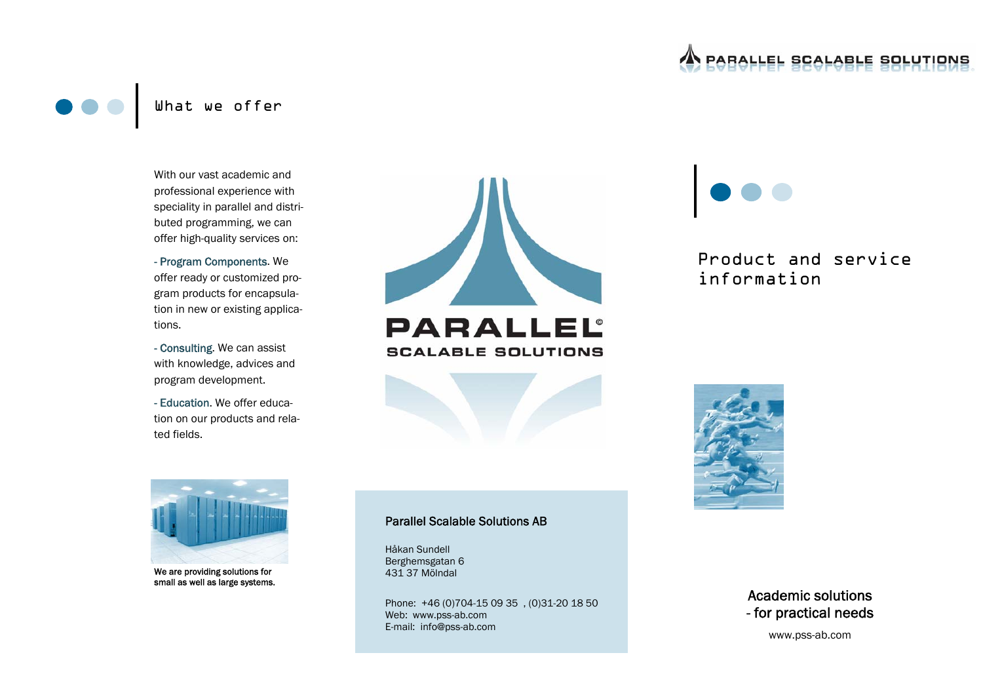# **PARALLEL SCALABLE SOLUTIONS**

# With our vast academic and professional experience with speciality in parallel and distributed programming, we can offer high-quality services on:

## - Program Components. We offer ready or customized program products for encapsulation in new or existing applications.

- Consulting. We can assist with knowledge, advices and program development.

- Education. We offer education on our products and related fields.





Product and service information





We are providing solutions for small as well as large systems.

#### Parallel Scalable Solutions AB

Håkan Sundell Berghemsgatan 6 431 37 Mölndal

Phone: +46 (0)704-15 09 35 , (0)31-20 18 50 Web: www.pss-ab.com E-mail: info@pss-ab.com



www.pss-ab.com